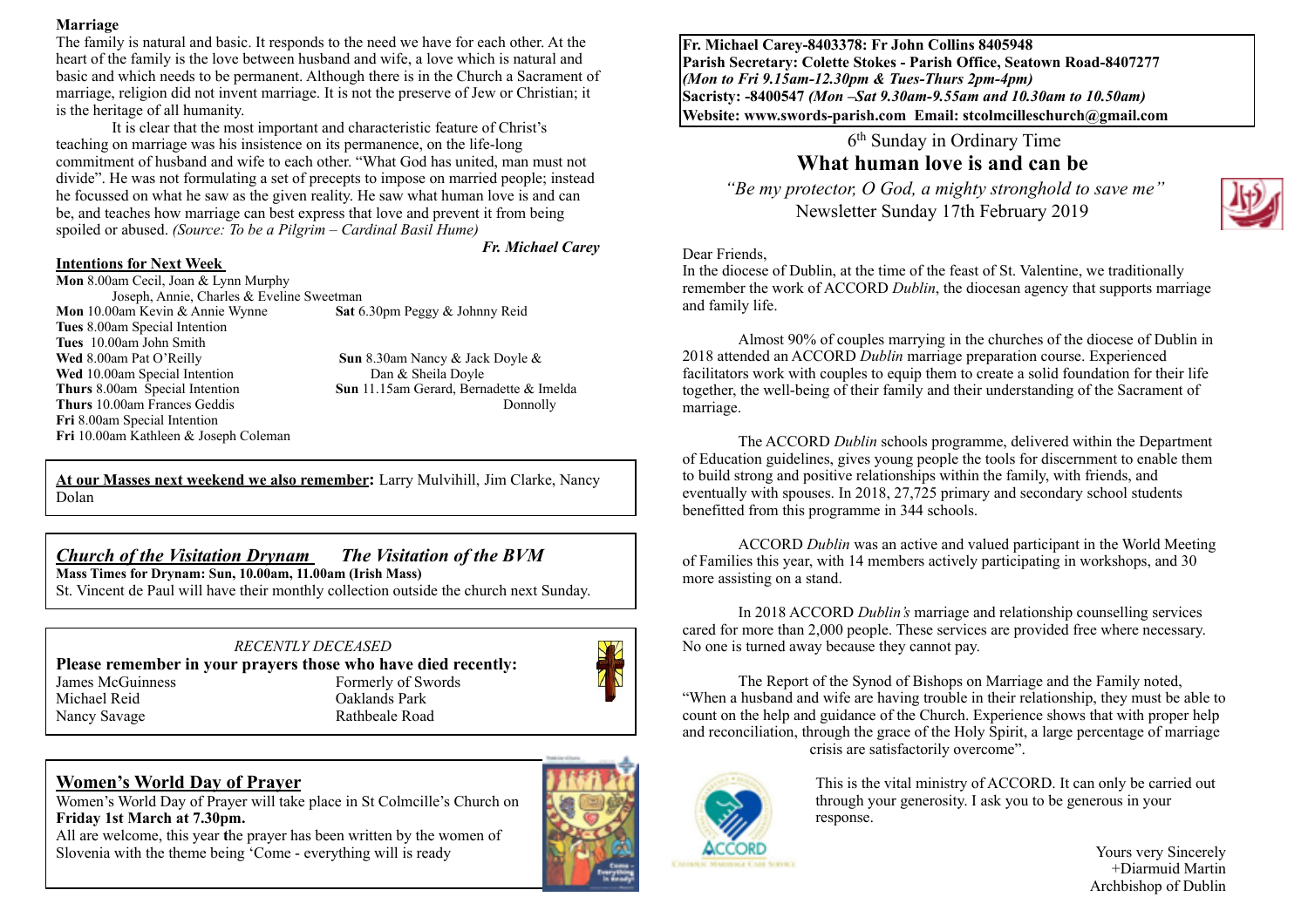#### **Marriage**

The family is natural and basic. It responds to the need we have for each other. At the heart of the family is the love between husband and wife, a love which is natural and basic and which needs to be permanent. Although there is in the Church a Sacrament of marriage, religion did not invent marriage. It is not the preserve of Jew or Christian; it is the heritage of all humanity.

It is clear that the most important and characteristic feature of Christ's teaching on marriage was his insistence on its permanence, on the life-long commitment of husband and wife to each other. "What God has united, man must not divide". He was not formulating a set of precepts to impose on married people; instead he focussed on what he saw as the given reality. He saw what human love is and can be, and teaches how marriage can best express that love and prevent it from being spoiled or abused. *(Source: To be a Pilgrim – Cardinal Basil Hume)* 

#### *Fr. Michael Carey*

#### **Intentions for Next Week**

**Mon** 8.00am Cecil, Joan & Lynn Murphy Joseph, Annie, Charles & Eveline Sweetman **Mon** 10.00am Kevin & Annie Wynne **Sat** 6.30pm Peggy & Johnny Reid **Tues** 8.00am Special Intention **Tues** 10.00am John Smith **Wed** 8.00am Pat O'Reilly<br> **Sun** 8.30am Nancy & Jack Doyle &<br> **Wed** 10.00am Special Intention<br> **Sun & Sheila Doyle Wed** 10.00am Special Intention **Thurs** 8.00am Special Intention **Sun** 11.15am Gerard, Bernadette & Imelda **Thurs** 10.00am Frances Geddis **Donnolly Donnolly Fri** 8.00am Special Intention **Fri** 10.00am Kathleen & Joseph Coleman

**At our Masses next weekend we also remember:** Larry Mulvihill, Jim Clarke, Nancy Dolan

#### *Church of the Visitation Drynam**The Visitation of the BVM*

**Mass Times for Drynam: Sun, 10.00am, 11.00am (Irish Mass)** 

St. Vincent de Paul will have their monthly collection outside the church next Sunday.

#### *RECENTLY DECEASED* **Please remember in your prayers those who have died recently:**<br>Iames McGuinness<br>Formerly of Swords Formerly of Swords Michael Reid Oaklands Park Nancy Savage Rathbeale Road

## **Women's World Day of Prayer**

Women's World Day of Prayer will take place in St Colmcille's Church on **Friday 1st March at 7.30pm.** 

All are welcome, this year **t**he prayer has been written by the women of Slovenia with the theme being 'Come - everything will is ready





**Fr. Michael Carey-8403378: Fr John Collins 8405948 Parish Secretary: Colette Stokes - Parish Office, Seatown Road-8407277**  *(Mon to Fri 9.15am-12.30pm & Tues-Thurs 2pm-4pm)*  **Sacristy: -8400547** *(Mon –Sat 9.30am-9.55am and 10.30am to 10.50am)* **Website: [www.swords-parish.com Email:](http://www.swords-parish.com%20%20email) stcolmcilleschurch@gmail.com**

#### 6th Sunday in Ordinary Time **What human love is and can be**

 *"Be my protector, O God, a mighty stronghold to save me"*  Newsletter Sunday 17th February 2019



#### Dear Friends,

In the diocese of Dublin, at the time of the feast of St. Valentine, we traditionally remember the work of ACCORD *Dublin*, the diocesan agency that supports marriage and family life.

Almost 90% of couples marrying in the churches of the diocese of Dublin in 2018 attended an ACCORD *Dublin* marriage preparation course. Experienced facilitators work with couples to equip them to create a solid foundation for their life together, the well-being of their family and their understanding of the Sacrament of marriage.

The ACCORD *Dublin* schools programme, delivered within the Department of Education guidelines, gives young people the tools for discernment to enable them to build strong and positive relationships within the family, with friends, and eventually with spouses. In 2018, 27,725 primary and secondary school students benefitted from this programme in 344 schools.

ACCORD *Dublin* was an active and valued participant in the World Meeting of Families this year, with 14 members actively participating in workshops, and 30 more assisting on a stand.

In 2018 ACCORD *Dublin's* marriage and relationship counselling services cared for more than 2,000 people. These services are provided free where necessary. No one is turned away because they cannot pay.

The Report of the Synod of Bishops on Marriage and the Family noted, "When a husband and wife are having trouble in their relationship, they must be able to count on the help and guidance of the Church. Experience shows that with proper help and reconciliation, through the grace of the Holy Spirit, a large percentage of marriage crisis are satisfactorily overcome".



This is the vital ministry of ACCORD. It can only be carried out through your generosity. I ask you to be generous in your response.

Yours very Sincerely +Diarmuid Martin Archbishop of Dublin